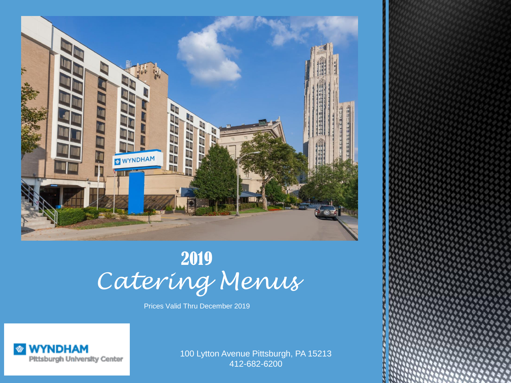

# 2019 *Catering Menus*

Prices Valid Thru December 2019



100 Lytton Avenue Pittsburgh, PA 15213 412-682-6200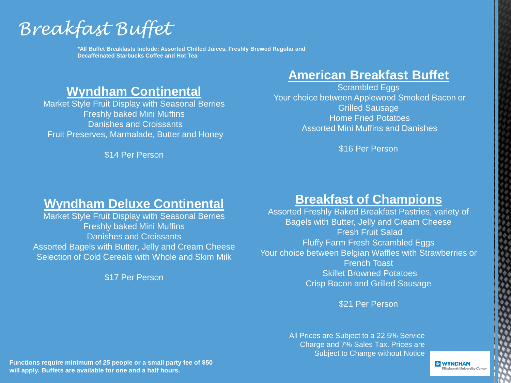*Breakfast Buffet*

**\*All Buffet Breakfasts Include: Assorted Chilled Juices, Freshly Brewed Regular and Decaffeinated Starbucks Coffee and Hot Tea**

# **Wyndham Continental**

Market Style Fruit Display with Seasonal Berries Freshly baked Mini Muffins Danishes and Croissants Fruit Preserves, Marmalade, Butter and Honey

\$14 Per Person

# **American Breakfast Buffet**

Scrambled Eggs Your choice between Applewood Smoked Bacon or Grilled Sausage Home Fried Potatoes Assorted Mini Muffins and Danishes

\$16 Per Person

### **Wyndham Deluxe Continental**

Market Style Fruit Display with Seasonal Berries Freshly baked Mini Muffins Danishes and Croissants Assorted Bagels with Butter, Jelly and Cream Cheese Selection of Cold Cereals with Whole and Skim Milk

\$17 Per Person

# **Breakfast of Champions**

Assorted Freshly Baked Breakfast Pastries, variety of Bagels with Butter, Jelly and Cream Cheese Fresh Fruit Salad Fluffy Farm Fresh Scrambled Eggs Your choice between Belgian Waffles with Strawberries or French Toast Skillet Browned Potatoes Crisp Bacon and Grilled Sausage

\$21 Per Person

All Prices are Subject to a 22.5% Service Charge and 7% Sales Tax. Prices are Subject to Change without Notice

**Functions require minimum of 25 people or a small party fee of \$50 will apply. Buffets are available for one and a half hours.**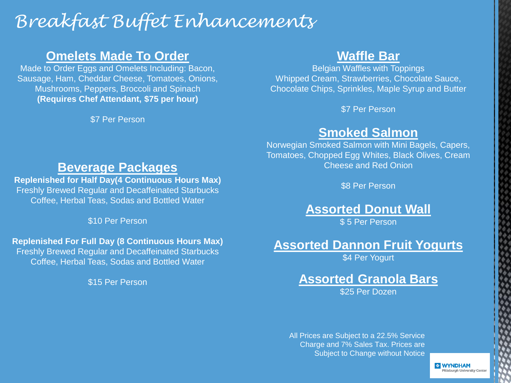# *Breakfast Buffet Enhancements*

# **Omelets Made To Order**

Made to Order Eggs and Omelets Including: Bacon, Sausage, Ham, Cheddar Cheese, Tomatoes, Onions, Mushrooms, Peppers, Broccoli and Spinach **(Requires Chef Attendant, \$75 per hour)**

\$7 Per Person

# **Waffle Bar**

Belgian Waffles with Toppings Whipped Cream, Strawberries, Chocolate Sauce, Chocolate Chips, Sprinkles, Maple Syrup and Butter

\$7 Per Person

## **Smoked Salmon**

Norwegian Smoked Salmon with Mini Bagels, Capers, Tomatoes, Chopped Egg Whites, Black Olives, Cream Cheese and Red Onion

\$8 Per Person

**Assorted Donut Wall**

\$5 Per Person

## **Assorted Dannon Fruit Yogurts**

\$4 Per Yogurt

# **Assorted Granola Bars**

\$25 Per Dozen

All Prices are Subject to a 22.5% Service Charge and 7% Sales Tax. Prices are Subject to Change without Notice

> **WYNDHAM** Ittsburgh University Center

### **Beverage Packages**

**Replenished for Half Day(4 Continuous Hours Max)** Freshly Brewed Regular and Decaffeinated Starbucks Coffee, Herbal Teas, Sodas and Bottled Water

\$10 Per Person

#### **Replenished For Full Day (8 Continuous Hours Max)**

Freshly Brewed Regular and Decaffeinated Starbucks Coffee, Herbal Teas, Sodas and Bottled Water

\$15 Per Person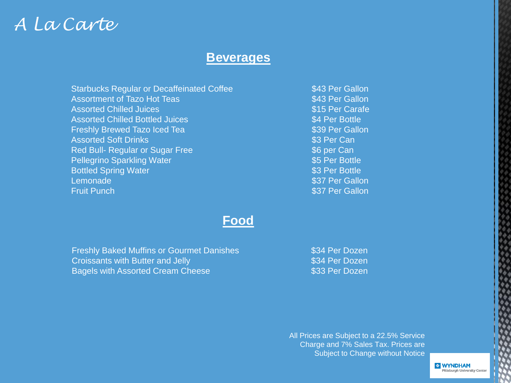# *A La Carte*

### **Beverages**

Starbucks Regular or Decaffeinated Coffee Assortment of Tazo Hot Teas Assorted Chilled Juices Assorted Chilled Bottled Juices Freshly Brewed Tazo Iced Tea Assorted Soft Drinks Red Bull- Regular or Sugar Free Pellegrino Sparkling Water Bottled Spring Water Lemonade Fruit Punch

\$43 Per Gallon \$43 Per Gallon \$15 Per Carafe \$4 Per Bottle \$39 Per Gallon \$3 Per Can \$6 per Can \$5 Per Bottle \$3 Per Bottle \$37 Per Gallon \$37 Per Gallon

### **Food**

Freshly Baked Muffins or Gourmet Danishes Croissants with Butter and Jelly Bagels with Assorted Cream Cheese

\$34 Per Dozen \$34 Per Dozen \$33 Per Dozen

All Prices are Subject to a 22.5% Service Charge and 7% Sales Tax. Prices are Subject to Change without Notice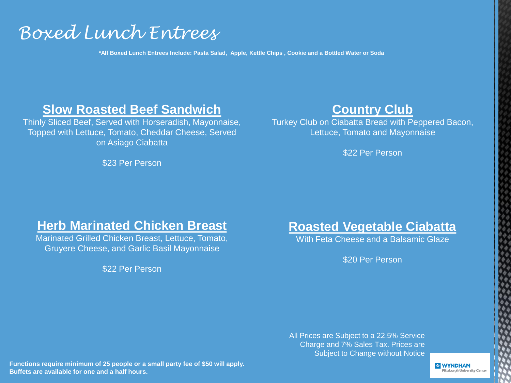# *Boxed Lunch Entrees*

**\*All Boxed Lunch Entrees Include: Pasta Salad, Apple, Kettle Chips , Cookie and a Bottled Water or Soda**

### **Slow Roasted Beef Sandwich**

Thinly Sliced Beef, Served with Horseradish, Mayonnaise, Topped with Lettuce, Tomato, Cheddar Cheese, Served on Asiago Ciabatta

\$23 Per Person

# **Country Club**

Turkey Club on Ciabatta Bread with Peppered Bacon, Lettuce, Tomato and Mayonnaise

\$22 Per Person

### **Herb Marinated Chicken Breast**

Marinated Grilled Chicken Breast, Lettuce, Tomato, Gruyere Cheese, and Garlic Basil Mayonnaise

\$22 Per Person

**Roasted Vegetable Ciabatta**

With Feta Cheese and a Balsamic Glaze

\$20 Per Person

All Prices are Subject to a 22.5% Service Charge and 7% Sales Tax. Prices are Subject to Change without Notice

**Functions require minimum of 25 people or a small party fee of \$50 will apply. Buffets are available for one and a half hours.**

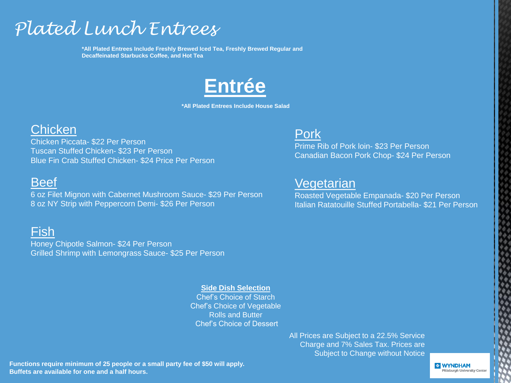# *Plated Lunch Entrees*

**\*All Plated Entrees Include Freshly Brewed Iced Tea, Freshly Brewed Regular and Decaffeinated Starbucks Coffee, and Hot Tea**



**\*All Plated Entrees Include House Salad**

# **Chicken**

Chicken Piccata- \$22 Per Person Tuscan Stuffed Chicken- \$23 Per Person Blue Fin Crab Stuffed Chicken- \$24 Price Per Person

# Beef

6 oz Filet Mignon with Cabernet Mushroom Sauce- \$29 Per Person 8 oz NY Strip with Peppercorn Demi- \$26 Per Person

# Fish

Honey Chipotle Salmon- \$24 Per Person Grilled Shrimp with Lemongrass Sauce- \$25 Per Person

#### **Side Dish Selection**

Chef's Choice of Starch Chef's Choice of Vegetable Rolls and Butter Chef's Choice of Dessert

> All Prices are Subject to a 22.5% Service Charge and 7% Sales Tax. Prices are Subject to Change without Notice

Pork

Prime Rib of Pork loin- \$23 Per Person Canadian Bacon Pork Chop- \$24 Per Person

# Vegetarian

Roasted Vegetable Empanada- \$20 Per Person Italian Ratatouille Stuffed Portabella- \$21 Per Person

**Functions require minimum of 25 people or a small party fee of \$50 will apply. Buffets are available for one and a half hours.**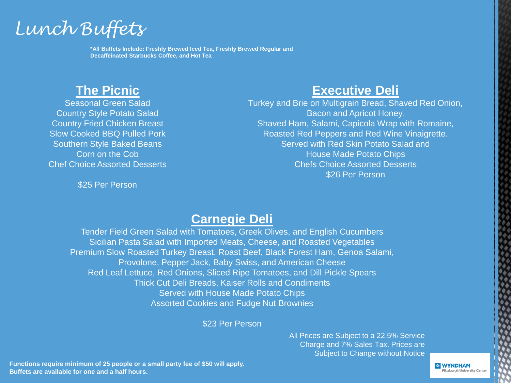

**\*All Buffets Include: Freshly Brewed Iced Tea, Freshly Brewed Regular and Decaffeinated Starbucks Coffee, and Hot Tea**

# **The Picnic**

Seasonal Green Salad Country Style Potato Salad Country Fried Chicken Breast Slow Cooked BBQ Pulled Pork Southern Style Baked Beans Corn on the Cob Chef Choice Assorted Desserts

\$25 Per Person

# **Executive Deli**

Turkey and Brie on Multigrain Bread, Shaved Red Onion, Bacon and Apricot Honey. Shaved Ham, Salami, Capicola Wrap with Romaine, Roasted Red Peppers and Red Wine Vinaigrette. Served with Red Skin Potato Salad and House Made Potato Chips Chefs Choice Assorted Desserts \$26 Per Person

# **Carnegie Deli**

Tender Field Green Salad with Tomatoes, Greek Olives, and English Cucumbers Sicilian Pasta Salad with Imported Meats, Cheese, and Roasted Vegetables Premium Slow Roasted Turkey Breast, Roast Beef, Black Forest Ham, Genoa Salami, Provolone, Pepper Jack, Baby Swiss, and American Cheese Red Leaf Lettuce, Red Onions, Sliced Ripe Tomatoes, and Dill Pickle Spears Thick Cut Deli Breads, Kaiser Rolls and Condiments Served with House Made Potato Chips Assorted Cookies and Fudge Nut Brownies

\$23 Per Person

All Prices are Subject to a 22.5% Service Charge and 7% Sales Tax. Prices are Subject to Change without Notice

**Functions require minimum of 25 people or a small party fee of \$50 will apply. Buffets are available for one and a half hours.**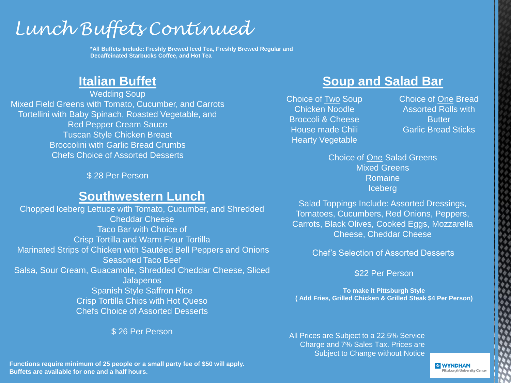# *Lunch Buffets Continued*

**\*All Buffets Include: Freshly Brewed Iced Tea, Freshly Brewed Regular and Decaffeinated Starbucks Coffee, and Hot Tea**

Wedding Soup Mixed Field Greens with Tomato, Cucumber, and Carrots Tortellini with Baby Spinach, Roasted Vegetable, and Red Pepper Cream Sauce Tuscan Style Chicken Breast Broccolini with Garlic Bread Crumbs Chefs Choice of Assorted Desserts

\$ 28 Per Person

### **Southwestern Lunch**

Chopped Iceberg Lettuce with Tomato, Cucumber, and Shredded Cheddar Cheese Taco Bar with Choice of Crisp Tortilla and Warm Flour Tortilla Marinated Strips of Chicken with Sautéed Bell Peppers and Onions Seasoned Taco Beef Salsa, Sour Cream, Guacamole, Shredded Cheddar Cheese, Sliced **Jalapenos** Spanish Style Saffron Rice Crisp Tortilla Chips with Hot Queso Chefs Choice of Assorted Desserts

\$ 26 Per Person

# **Italian Buffet Soup and Salad Bar**

Choice of Two Soup Chicken Noodle Broccoli & Cheese House made Chili Hearty Vegetable

Choice of One Bread Assorted Rolls with **Butter** Garlic Bread Sticks

Choice of One Salad Greens Mixed Greens Romaine Iceberg

Salad Toppings Include: Assorted Dressings, Tomatoes, Cucumbers, Red Onions, Peppers, Carrots, Black Olives, Cooked Eggs, Mozzarella Cheese, Cheddar Cheese

Chef's Selection of Assorted Desserts

\$22 Per Person

**To make it Pittsburgh Style ( Add Fries, Grilled Chicken & Grilled Steak \$4 Per Person)**

All Prices are Subject to a 22.5% Service Charge and 7% Sales Tax. Prices are Subject to Change without Notice

**Functions require minimum of 25 people or a small party fee of \$50 will apply. Buffets are available for one and a half hours.**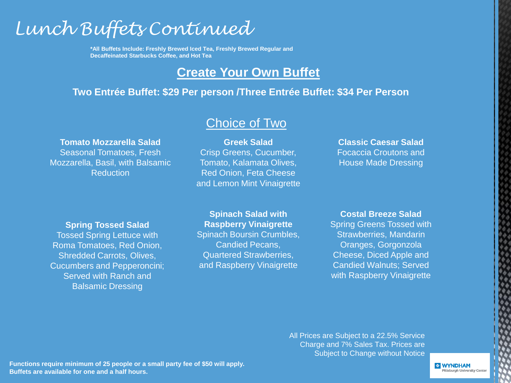# *Lunch Buffets Continued*

**\*All Buffets Include: Freshly Brewed Iced Tea, Freshly Brewed Regular and Decaffeinated Starbucks Coffee, and Hot Tea**

# **Create Your Own Buffet**

### **Two Entrée Buffet: \$29 Per person /Three Entrée Buffet: \$34 Per Person**

#### **Tomato Mozzarella Salad**

Seasonal Tomatoes, Fresh Mozzarella, Basil, with Balsamic **Reduction** 

**Greek Salad** Crisp Greens, Cucumber, Tomato, Kalamata Olives, Red Onion, Feta Cheese and Lemon Mint Vinaigrette

Choice of Two

**Classic Caesar Salad** Focaccia Croutons and House Made Dressing

#### **Spring Tossed Salad**

Tossed Spring Lettuce with Roma Tomatoes, Red Onion, Shredded Carrots, Olives, Cucumbers and Pepperoncini; Served with Ranch and Balsamic Dressing

#### **Spinach Salad with Raspberry Vinaigrette**  Spinach Boursin Crumbles,

Candied Pecans, Quartered Strawberries, and Raspberry Vinaigrette

### **Costal Breeze Salad**

Spring Greens Tossed with Strawberries, Mandarin Oranges, Gorgonzola Cheese, Diced Apple and Candied Walnuts; Served with Raspberry Vinaigrette

All Prices are Subject to a 22.5% Service Charge and 7% Sales Tax. Prices are Subject to Change without Notice

**Functions require minimum of 25 people or a small party fee of \$50 will apply. Buffets are available for one and a half hours.**

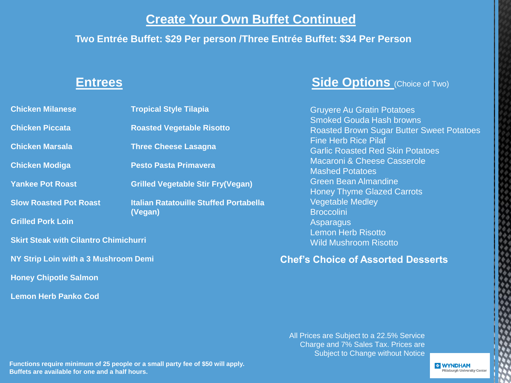# **Create Your Own Buffet Continued**

### **Two Entrée Buffet: \$29 Per person /Three Entrée Buffet: \$34 Per Person**

| <b>Chicken Milanese</b>                      | <b>Tropical Style Tilapia</b>                            |  |  |  |
|----------------------------------------------|----------------------------------------------------------|--|--|--|
| <b>Chicken Piccata</b>                       | <b>Roasted Vegetable Risotto</b>                         |  |  |  |
| <b>Chicken Marsala</b>                       | <b>Three Cheese Lasagna</b>                              |  |  |  |
| <b>Chicken Modiga</b>                        | <b>Pesto Pasta Primavera</b>                             |  |  |  |
| <b>Yankee Pot Roast</b>                      | <b>Grilled Vegetable Stir Fry(Vegan)</b>                 |  |  |  |
| <b>Slow Roasted Pot Roast</b>                | <b>Italian Ratatouille Stuffed Portabella</b><br>(Vegan) |  |  |  |
| <b>Grilled Pork Loin</b>                     |                                                          |  |  |  |
| <b>Skirt Steak with Cilantro Chimichurri</b> |                                                          |  |  |  |
| NY Strip Loin with a 3 Mushroom Demi         |                                                          |  |  |  |
| <b>Honey Chipotle Salmon</b>                 |                                                          |  |  |  |

**Lemon Herb Panko Cod**

# **Entrees Side Options** (Choice of Two)

Gruyere Au Gratin Potatoes Smoked Gouda Hash browns Roasted Brown Sugar Butter Sweet Potatoes Fine Herb Rice Pilaf Garlic Roasted Red Skin Potatoes Macaroni & Cheese Casserole Mashed Potatoes Green Bean Almandine Honey Thyme Glazed Carrots Vegetable Medley **Broccolini** Asparagus Lemon Herb Risotto Wild Mushroom Risotto

**Chef's Choice of Assorted Desserts**

All Prices are Subject to a 22.5% Service Charge and 7% Sales Tax. Prices are Subject to Change without Notice

**Functions require minimum of 25 people or a small party fee of \$50 will apply. Buffets are available for one and a half hours.**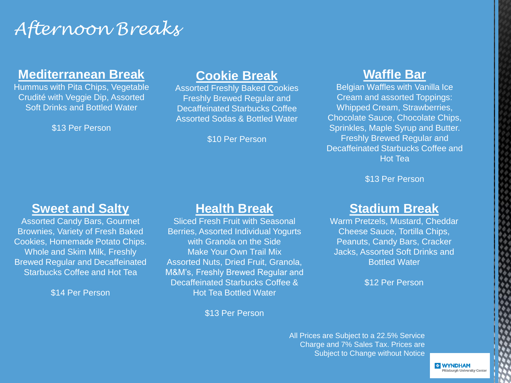# *Afternoon Breaks*

# **Mediterranean Break**

Hummus with Pita Chips, Vegetable Crudité with Veggie Dip, Assorted Soft Drinks and Bottled Water

\$13 Per Person

# **Cookie Break**

Assorted Freshly Baked Cookies Freshly Brewed Regular and Decaffeinated Starbucks Coffee Assorted Sodas & Bottled Water

\$10 Per Person

# **Waffle Bar**

Belgian Waffles with Vanilla Ice Cream and assorted Toppings: Whipped Cream, Strawberries, Chocolate Sauce, Chocolate Chips, Sprinkles, Maple Syrup and Butter. Freshly Brewed Regular and Decaffeinated Starbucks Coffee and Hot Tea

\$13 Per Person

# **Sweet and Salty**

Assorted Candy Bars, Gourmet Brownies, Variety of Fresh Baked Cookies, Homemade Potato Chips. Whole and Skim Milk, Freshly Brewed Regular and Decaffeinated Starbucks Coffee and Hot Tea

\$14 Per Person

# **Health Break**

Sliced Fresh Fruit with Seasonal Berries, Assorted Individual Yogurts with Granola on the Side Make Your Own Trail Mix Assorted Nuts, Dried Fruit, Granola, M&M's, Freshly Brewed Regular and Decaffeinated Starbucks Coffee & Hot Tea Bottled Water

\$13 Per Person

# **Stadium Break**

Warm Pretzels, Mustard, Cheddar Cheese Sauce, Tortilla Chips, Peanuts, Candy Bars, Cracker Jacks, Assorted Soft Drinks and Bottled Water

\$12 Per Person

All Prices are Subject to a 22.5% Service Charge and 7% Sales Tax. Prices are Subject to Change without Notice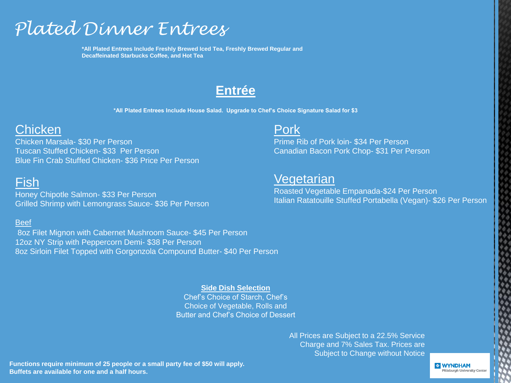# *Plated Dinner Entrees*

**\*All Plated Entrees Include Freshly Brewed Iced Tea, Freshly Brewed Regular and Decaffeinated Starbucks Coffee, and Hot Tea**

# **Entrée**

**\*All Plated Entrees Include House Salad. Upgrade to Chef's Choice Signature Salad for \$3**

# **Chicken**

Chicken Marsala- \$30 Per Person Tuscan Stuffed Chicken- \$33 Per Person Blue Fin Crab Stuffed Chicken- \$36 Price Per Person

# Fish

Honey Chipotle Salmon- \$33 Per Person Grilled Shrimp with Lemongrass Sauce- \$36 Per Person

#### Beef

8oz Filet Mignon with Cabernet Mushroom Sauce- \$45 Per Person 12oz NY Strip with Peppercorn Demi- \$38 Per Person 8oz Sirloin Filet Topped with Gorgonzola Compound Butter- \$40 Per Person

> **Side Dish Selection** Chef's Choice of Starch, Chef's Choice of Vegetable, Rolls and Butter and Chef's Choice of Dessert

#### All Prices are Subject to a 22.5% Service Charge and 7% Sales Tax. Prices are Subject to Change without Notice

**Functions require minimum of 25 people or a small party fee of \$50 will apply. Buffets are available for one and a half hours.**

### Pork

Prime Rib of Pork loin- \$34 Per Person Canadian Bacon Pork Chop- \$31 Per Person

# **Vegetarian**

Roasted Vegetable Empanada-\$24 Per Person Italian Ratatouille Stuffed Portabella (Vegan)- \$26 Per Person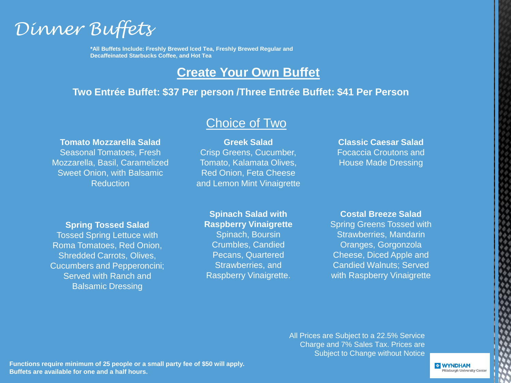

**\*All Buffets Include: Freshly Brewed Iced Tea, Freshly Brewed Regular and Decaffeinated Starbucks Coffee, and Hot Tea**

# **Create Your Own Buffet**

#### **Two Entrée Buffet: \$37 Per person /Three Entrée Buffet: \$41 Per Person**

#### **Tomato Mozzarella Salad**

Seasonal Tomatoes, Fresh Mozzarella, Basil, Caramelized Sweet Onion, with Balsamic **Reduction** 

# Choice of Two

**Greek Salad** Crisp Greens, Cucumber, Tomato, Kalamata Olives, Red Onion, Feta Cheese and Lemon Mint Vinaigrette

#### **Classic Caesar Salad** Focaccia Croutons and House Made Dressing

#### **Spring Tossed Salad**

Tossed Spring Lettuce with Roma Tomatoes, Red Onion, Shredded Carrots, Olives, Cucumbers and Pepperoncini; Served with Ranch and Balsamic Dressing

#### **Spinach Salad with Raspberry Vinaigrette**

Spinach, Boursin Crumbles, Candied Pecans, Quartered Strawberries, and Raspberry Vinaigrette.

#### **Costal Breeze Salad**

Spring Greens Tossed with Strawberries, Mandarin Oranges, Gorgonzola Cheese, Diced Apple and Candied Walnuts; Served with Raspberry Vinaigrette

All Prices are Subject to a 22.5% Service Charge and 7% Sales Tax. Prices are Subject to Change without Notice

**Functions require minimum of 25 people or a small party fee of \$50 will apply. Buffets are available for one and a half hours.**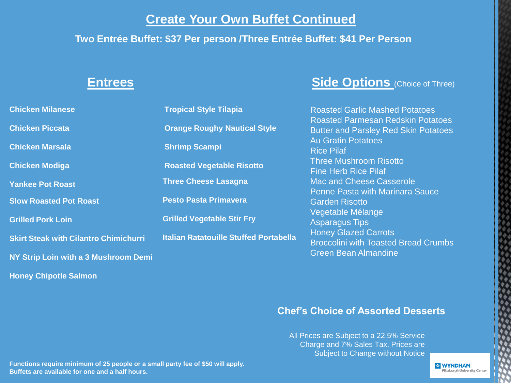# **Create Your Own Buffet Continued**

### **Two Entrée Buffet: \$37 Per person /Three Entrée Buffet: \$41 Per Person**

| <b>Chicken Milanese</b>                      | <b>Tropical Style Tilapia</b>                 |  |
|----------------------------------------------|-----------------------------------------------|--|
| <b>Chicken Piccata</b>                       | <b>Orange Roughy Nautical Style</b>           |  |
| <b>Chicken Marsala</b>                       | <b>Shrimp Scampi</b>                          |  |
| <b>Chicken Modiga</b>                        | <b>Roasted Vegetable Risotto</b>              |  |
| <b>Yankee Pot Roast</b>                      | <b>Three Cheese Lasagna</b>                   |  |
| <b>Slow Roasted Pot Roast</b>                | <b>Pesto Pasta Primavera</b>                  |  |
| <b>Grilled Pork Loin</b>                     | <b>Grilled Vegetable Stir Fry</b>             |  |
| <b>Skirt Steak with Cilantro Chimichurri</b> | <b>Italian Ratatouille Stuffed Portabella</b> |  |
| NY Strip Loin with a 3 Mushroom Demi         |                                               |  |
| <b>Honey Chipotle Salmon</b>                 |                                               |  |

# **Entrees Side Options** (Choice of Three)

Roasted Garlic Mashed Potatoes Roasted Parmesan Redskin Potatoes Butter and Parsley Red Skin Potatoes Au Gratin Potatoes Rice Pilaf Three Mushroom Risotto Fine Herb Rice Pilaf Mac and Cheese Casserole Penne Pasta with Marinara Sauce Garden Risotto Vegetable Mélange Asparagus Tips Honey Glazed Carrots Broccolini with Toasted Bread Crumbs Green Bean Almandine

### **Chef's Choice of Assorted Desserts**

All Prices are Subject to a 22.5% Service Charge and 7% Sales Tax. Prices are Subject to Change without Notice

**Functions require minimum of 25 people or a small party fee of \$50 will apply. Buffets are available for one and a half hours.**

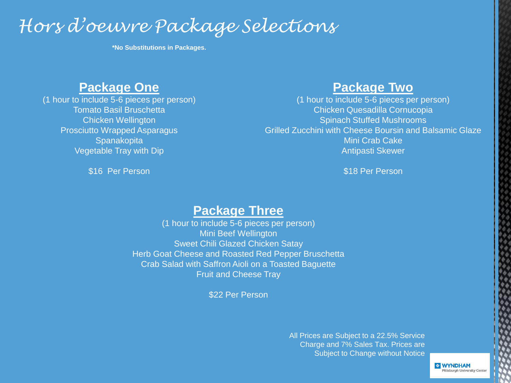# *Hors d'oeuvre Package Selections*

**\*No Substitutions in Packages.**

# **Package One**

(1 hour to include 5-6 pieces per person) Tomato Basil Bruschetta Chicken Wellington Prosciutto Wrapped Asparagus **Spanakopita** Vegetable Tray with Dip

\$16 Per Person

## **Package Two**

(1 hour to include 5-6 pieces per person) Chicken Quesadilla Cornucopia Spinach Stuffed Mushrooms Grilled Zucchini with Cheese Boursin and Balsamic Glaze Mini Crab Cake Antipasti Skewer

\$18 Per Person

# **Package Three**

(1 hour to include 5-6 pieces per person) Mini Beef Wellington Sweet Chili Glazed Chicken Satay Herb Goat Cheese and Roasted Red Pepper Bruschetta Crab Salad with Saffron Aioli on a Toasted Baguette Fruit and Cheese Tray

\$22 Per Person

All Prices are Subject to a 22.5% Service Charge and 7% Sales Tax. Prices are Subject to Change without Notice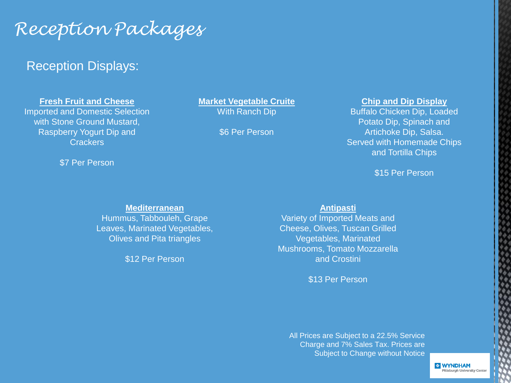# *Reception Packages*

# Reception Displays:

**Fresh Fruit and Cheese**

Imported and Domestic Selection with Stone Ground Mustard, Raspberry Yogurt Dip and **Crackers** 

\$7 Per Person

#### **Market Vegetable Cruite**

With Ranch Dip

\$6 Per Person

#### **Chip and Dip Display**

Buffalo Chicken Dip, Loaded Potato Dip, Spinach and Artichoke Dip, Salsa. Served with Homemade Chips and Tortilla Chips

\$15 Per Person

#### **Mediterranean**

Hummus, Tabbouleh, Grape Leaves, Marinated Vegetables, Olives and Pita triangles

\$12 Per Person

#### **Antipasti**

Variety of Imported Meats and Cheese, Olives, Tuscan Grilled Vegetables, Marinated Mushrooms, Tomato Mozzarella and Crostini

\$13 Per Person

All Prices are Subject to a 22.5% Service Charge and 7% Sales Tax. Prices are Subject to Change without Notice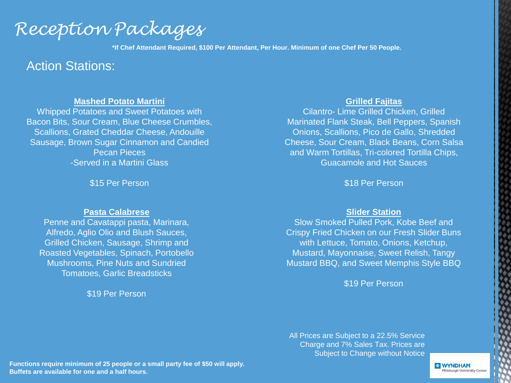*Reception Packages*

**\*If Chef Attendant Required, \$100 Per Attendant, Per Hour. Minimum of one Chef Per 50 People.**

### Action Stations:

#### **Mashed Potato Martini**

Whipped Potatoes and Sweet Potatoes with Bacon Bits, Sour Cream, Blue Cheese Crumbles, Scallions, Grated Cheddar Cheese, Andouille Sausage, Brown Sugar Cinnamon and Candied Pecan Pieces -Served in a Martini Glass

\$15 Per Person

#### **Pasta Calabrese**

Penne and Cavatappi pasta, Marinara, Alfredo, Aglio Olio and Blush Sauces, Grilled Chicken, Sausage, Shrimp and Roasted Vegetables, Spinach, Portobello Mushrooms, Pine Nuts and Sundried Tomatoes, Garlic Breadsticks

\$19 Per Person

#### **Grilled Fajitas**

Cilantro- Lime Grilled Chicken, Grilled Marinated Flank Steak, Bell Peppers, Spanish Onions, Scallions, Pico de Gallo, Shredded Cheese, Sour Cream, Black Beans, Corn Salsa and Warm Tortillas, Tri-colored Tortilla Chips, Guacamole and Hot Sauces

\$18 Per Person

#### **Slider Station**

Slow Smoked Pulled Pork, Kobe Beef and Crispy Fried Chicken on our Fresh Slider Buns with Lettuce, Tomato, Onions, Ketchup, Mustard, Mayonnaise, Sweet Relish, Tangy Mustard BBQ, and Sweet Memphis Style BBQ

\$19 Per Person

All Prices are Subject to a 22.5% Service Charge and 7% Sales Tax. Prices are Subject to Change without Notice

**Functions require minimum of 25 people or a small party fee of \$50 will apply. Buffets are available for one and a half hours.**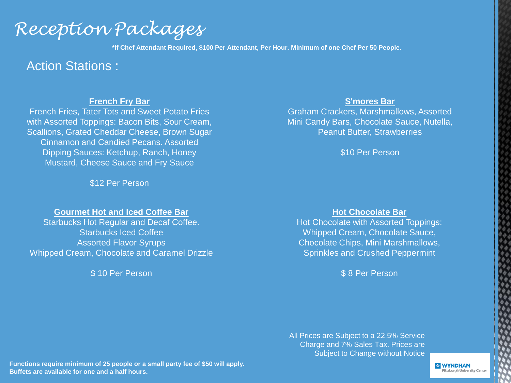*Reception Packages*

**\*If Chef Attendant Required, \$100 Per Attendant, Per Hour. Minimum of one Chef Per 50 People.**

### Action Stations :

#### **French Fry Bar**

French Fries, Tater Tots and Sweet Potato Fries with Assorted Toppings: Bacon Bits, Sour Cream, Scallions, Grated Cheddar Cheese, Brown Sugar Cinnamon and Candied Pecans. Assorted Dipping Sauces: Ketchup, Ranch, Honey Mustard, Cheese Sauce and Fry Sauce

\$12 Per Person

#### **Gourmet Hot and Iced Coffee Bar**

Starbucks Hot Regular and Decaf Coffee. Starbucks Iced Coffee Assorted Flavor Syrups Whipped Cream, Chocolate and Caramel Drizzle

\$ 10 Per Person

#### **S'mores Bar**

Graham Crackers, Marshmallows, Assorted Mini Candy Bars, Chocolate Sauce, Nutella, Peanut Butter, Strawberries

\$10 Per Person

#### **Hot Chocolate Bar**

Hot Chocolate with Assorted Toppings: Whipped Cream, Chocolate Sauce, Chocolate Chips, Mini Marshmallows, Sprinkles and Crushed Peppermint

\$ 8 Per Person

All Prices are Subject to a 22.5% Service Charge and 7% Sales Tax. Prices are Subject to Change without Notice

**Functions require minimum of 25 people or a small party fee of \$50 will apply. Buffets are available for one and a half hours.**

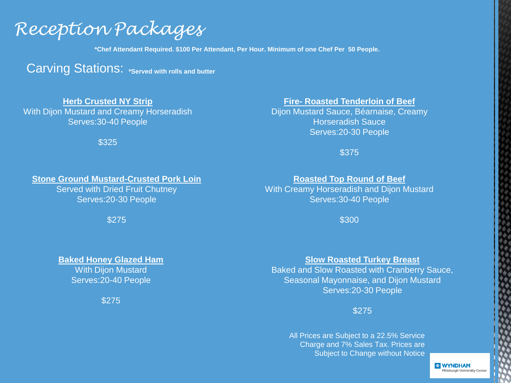# *Reception Packages*

**\*Chef Attendant Required. \$100 Per Attendant, Per Hour. Minimum of one Chef Per 50 People.**

**Carving Stations: \*Served with rolls and butter** 

#### **Herb Crusted NY Strip**

With Dijon Mustard and Creamy Horseradish Serves:30-40 People

\$325

#### **Fire- Roasted Tenderloin of Beef**

Dijon Mustard Sauce, Béarnaise, Creamy Horseradish Sauce Serves:20-30 People

\$375

#### **Stone Ground Mustard-Crusted Pork Loin**

Served with Dried Fruit Chutney Serves:20-30 People

\$275

#### **Roasted Top Round of Beef**

With Creamy Horseradish and Dijon Mustard Serves:30-40 People

\$300

#### **Baked Honey Glazed Ham**

**With Dijon Mustard** Serves:20-40 People

\$275

#### **Slow Roasted Turkey Breast**

Baked and Slow Roasted with Cranberry Sauce, Seasonal Mayonnaise, and Dijon Mustard Serves:20-30 People

#### \$275

All Prices are Subject to a 22.5% Service Charge and 7% Sales Tax. Prices are Subject to Change without Notice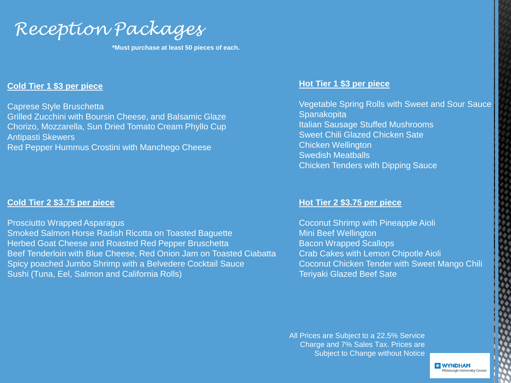*Reception Packages*

**\*Must purchase at least 50 pieces of each.**

#### **Cold Tier 1 \$3 per piece**

Caprese Style Bruschetta

Grilled Zucchini with Boursin Cheese, and Balsamic Glaze Chorizo, Mozzarella, Sun Dried Tomato Cream Phyllo Cup Antipasti Skewers

Red Pepper Hummus Crostini with Manchego Cheese

#### **Cold Tier 2 \$3.75 per piece**

Prosciutto Wrapped Asparagus Smoked Salmon Horse Radish Ricotta on Toasted Baguette Herbed Goat Cheese and Roasted Red Pepper Bruschetta Beef Tenderloin with Blue Cheese, Red Onion Jam on Toasted Ciabatta Spicy poached Jumbo Shrimp with a Belvedere Cocktail Sauce Sushi (Tuna, Eel, Salmon and California Rolls)

#### **Hot Tier 1 \$3 per piece**

Vegetable Spring Rolls with Sweet and Sour Sauce **Spanakopita** Italian Sausage Stuffed Mushrooms Sweet Chili Glazed Chicken Sate Chicken Wellington Swedish Meatballs Chicken Tenders with Dipping Sauce

#### **Hot Tier 2 \$3.75 per piece**

Coconut Shrimp with Pineapple Aioli Mini Beef Wellington Bacon Wrapped Scallops Crab Cakes with Lemon Chipotle Aioli Coconut Chicken Tender with Sweet Mango Chili Teriyaki Glazed Beef Sate

All Prices are Subject to a 22.5% Service Charge and 7% Sales Tax. Prices are Subject to Change without Notice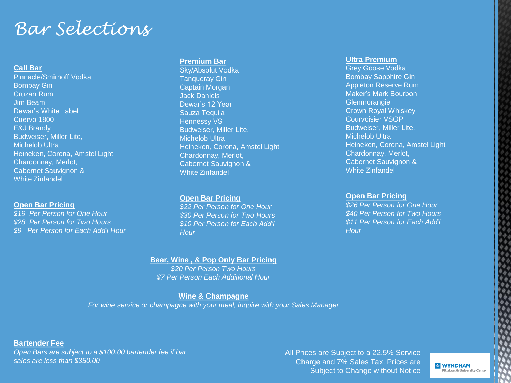# *Bar Selections*

#### **Call Bar**

Pinnacle/Smirnoff Vodka Bombay Gin Cruzan Rum Jim Beam Dewar's White Label Cuervo 1800 E&J Brandy Budweiser, Miller Lite, Michelob Ultra Heineken, Corona, Amstel Light Chardonnay, Merlot, Cabernet Sauvignon & White Zinfandel

#### **Open Bar Pricing**

*\$19 Per Person for One Hour \$28 Per Person for Two Hours \$9 Per Person for Each Add'l Hour*

#### **Premium Bar**

Sky/Absolut Vodka Tanqueray Gin Captain Morgan Jack Daniels Dewar's 12 Year Sauza Tequila Hennessy VS Budweiser, Miller Lite, Michelob Ultra Heineken, Corona, Amstel Light Chardonnay, Merlot, Cabernet Sauvignon & White Zinfandel

#### **Open Bar Pricing**

*\$22 Per Person for One Hour \$30 Per Person for Two Hours \$10 Per Person for Each Add'l Hour*

#### **Beer, Wine , & Pop Only Bar Pricing**

*\$20 Per Person Two Hours \$7 Per Person Each Additional Hour* 

#### **Wine & Champagne**

*For wine service or champagne with your meal, inquire with your Sales Manager*

#### **Ultra Premium**

Grey Goose Vodka Bombay Sapphire Gin Appleton Reserve Rum Maker's Mark Bourbon **Glenmorangie** Crown Royal Whiskey Courvoisier VSOP Budweiser, Miller Lite, Michelob Ultra Heineken, Corona, Amstel Light Chardonnay, Merlot, Cabernet Sauvignon & White Zinfandel

#### **Open Bar Pricing**

*\$26 Per Person for One Hour \$40 Per Person for Two Hours \$11 Per Person for Each Add'l Hour*

**Bartender Fee**

*Open Bars are subject to a \$100.00 bartender fee if bar sales are less than \$350.00*

All Prices are Subject to a 22.5% Service Charge and 7% Sales Tax. Prices are Subject to Change without Notice